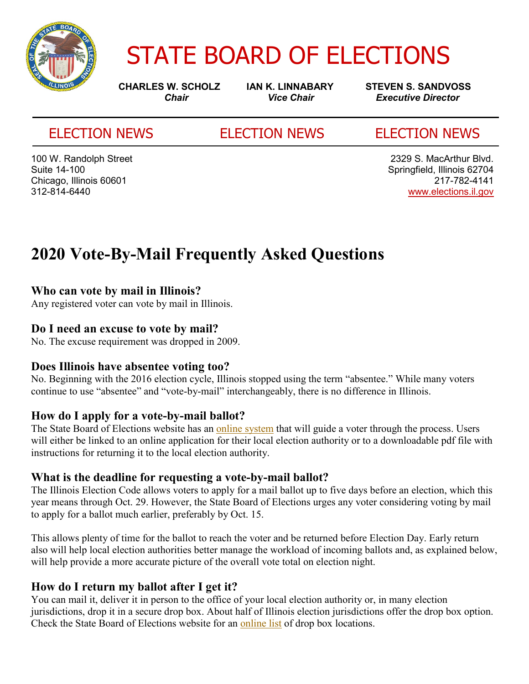

# STATE BOARD OF ELECTIONS

**CHARLES W. SCHOLZ IAN K. LINNABARY STEVEN S. SANDVOSS**<br>Chair Vice Chair *Vice Chair* Executive Director *Chair Vice Chair Executive Director*

### ELECTION NEWS ELECTION NEWS ELECTION NEWS

100 W. Randolph Street 2329 S. MacArthur Blvd. Chicago, Illinois 60601

Suite 14-100 Springfield, Illinois 62704 312-814-6440 www.elections.il.gov

## **2020 Vote-By-Mail Frequently Asked Questions**

#### **Who can vote by mail in Illinois?**

Any registered voter can vote by mail in Illinois.

#### **Do I need an excuse to vote by mail?**

No. The excuse requirement was dropped in 2009.

#### **Does Illinois have absentee voting too?**

No. Beginning with the 2016 election cycle, Illinois stopped using the term "absentee." While many voters continue to use "absentee" and "vote-by-mail" interchangeably, there is no difference in Illinois.

#### **How do I apply for a vote-by-mail ballot?**

The State Board of Elections website has an online system that will guide a voter through the process. Users will either be linked to an online application for their local election authority or to a downloadable pdf file with instructions for returning it to the local election authority.

#### **What is the deadline for requesting a vote-by-mail ballot?**

The Illinois Election Code allows voters to apply for a mail ballot up to five days before an election, which this year means through Oct. 29. However, the State Board of Elections urges any voter considering voting by mail to apply for a ballot much earlier, preferably by Oct. 15.

This allows plenty of time for the ballot to reach the voter and be returned before Election Day. Early return also will help local election authorities better manage the workload of incoming ballots and, as explained below, will help provide a more accurate picture of the overall vote total on election night.

#### **How do I return my ballot after I get it?**

You can mail it, deliver it in person to the office of your local election authority or, in many election jurisdictions, drop it in a secure drop box. About half of Illinois election jurisdictions offer the drop box option. Check the State Board of Elections website for an online list of drop box locations.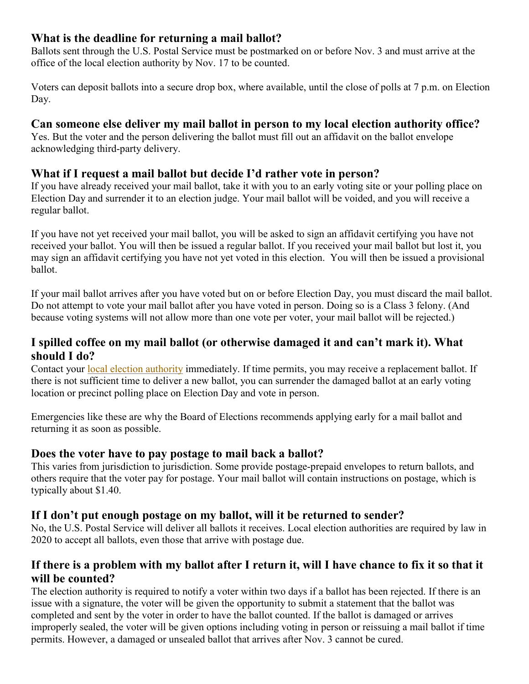#### **What is the deadline for returning a mail ballot?**

Ballots sent through the U.S. Postal Service must be postmarked on or before Nov. 3 and must arrive at the office of the local election authority by Nov. 17 to be counted.

Voters can deposit ballots into a secure drop box, where available, until the close of polls at 7 p.m. on Election Day.

#### **Can someone else deliver my mail ballot in person to my local election authority office?**

Yes. But the voter and the person delivering the ballot must fill out an affidavit on the ballot envelope acknowledging third-party delivery.

#### **What if I request a mail ballot but decide I'd rather vote in person?**

If you have already received your mail ballot, take it with you to an early voting site or your polling place on Election Day and surrender it to an election judge. Your mail ballot will be voided, and you will receive a regular ballot.

If you have not yet received your mail ballot, you will be asked to sign an affidavit certifying you have not received your ballot. You will then be issued a regular ballot. If you received your mail ballot but lost it, you may sign an affidavit certifying you have not yet voted in this election. You will then be issued a provisional ballot.

If your mail ballot arrives after you have voted but on or before Election Day, you must discard the mail ballot. Do not attempt to vote your mail ballot after you have voted in person. Doing so is a Class 3 felony. (And because voting systems will not allow more than one vote per voter, your mail ballot will be rejected.)

#### **I spilled coffee on my mail ballot (or otherwise damaged it and can't mark it). What should I do?**

Contact your local election authority immediately. If time permits, you may receive a replacement ballot. If there is not sufficient time to deliver a new ballot, you can surrender the damaged ballot at an early voting location or precinct polling place on Election Day and vote in person.

Emergencies like these are why the Board of Elections recommends applying early for a mail ballot and returning it as soon as possible.

#### **Does the voter have to pay postage to mail back a ballot?**

This varies from jurisdiction to jurisdiction. Some provide postage-prepaid envelopes to return ballots, and others require that the voter pay for postage. Your mail ballot will contain instructions on postage, which is typically about \$1.40.

### **If I don't put enough postage on my ballot, will it be returned to sender?**

No, the U.S. Postal Service will deliver all ballots it receives. Local election authorities are required by law in 2020 to accept all ballots, even those that arrive with postage due.

#### **If there is a problem with my ballot after I return it, will I have chance to fix it so that it will be counted?**

The election authority is required to notify a voter within two days if a ballot has been rejected. If there is an issue with a signature, the voter will be given the opportunity to submit a statement that the ballot was completed and sent by the voter in order to have the ballot counted. If the ballot is damaged or arrives improperly sealed, the voter will be given options including voting in person or reissuing a mail ballot if time permits. However, a damaged or unsealed ballot that arrives after Nov. 3 cannot be cured.